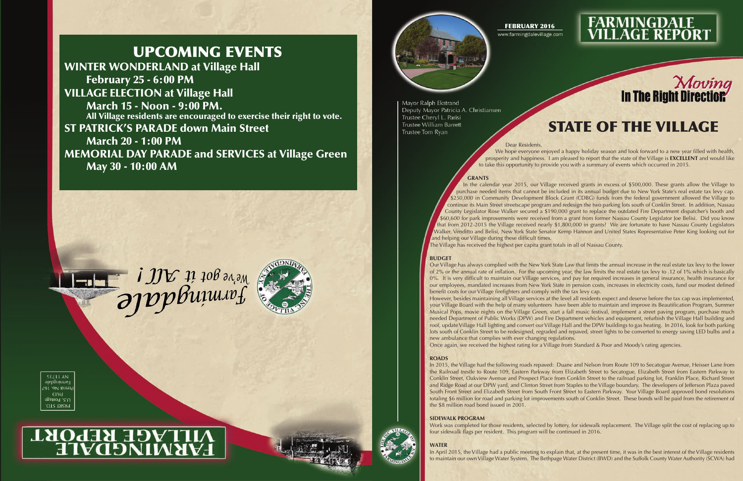## FEBRUARY 2016

### www.farmingdalevillage.com

STATE OF THE VILLAGE

Dear Residents, We hope everyone enjoyed a happy holiday season and look forward to a new year filled with health, prosperity and happiness. I am pleased to report that the state of the Village is **EXCELLENT** and would like to take this opportunity to provide you with a summary of events which occurred in 2015.

### **Grants**

In the calendar year 2015, our Village received grants in excess of \$500,000. These grants allow the Village to purchase needed items that cannot be included in its annual budget due to New York State's real estate tax levy cap. \$250,000 in Community Development Block Grant (CDBG) funds from the federal government allowed the Village to continue its Main Street streetscape program and redesign the two parking lots south of Conklin Street. In addition, Nassau County Legislator Rose Walker secured a \$190,000 grant to replace the outdated Fire Department dispatcher's booth and \$60,600 for park improvements were received from a grant from former Nassau County Legislator Joe Belisi. Did you know that from 2012-2015 the Village received nearly \$1,800,000 in grants? We are fortunate to have Nassau County Legislators Walker, Venditto and Belisi, New York State Senator Kemp Hannon and United States Representative Peter King looking out for and helping our Village during these difficult times. The Village has received the highest per capita grant totals in all of Nassau County.

### **Budget**

Our Village has always complied with the New York State Law that limits the annual increase in the real estate tax levy to the lower of 2% or the annual rate of inflation. For the upcoming year, the law limits the real estate tax levy to .12 of 1% which is basically 0%. It is very difficult to maintain our Village services, and pay for required increases in general insurance, health insurance for our employees, mandated increases from New York State in pension costs, increases in electricity costs, fund our modest defined benefit costs for our Village firefighters and comply with the tax levy cap. However, besides maintaining all Village services at the level all residents expect and deserve before the tax cap was implemented, your Village Board with the help of many volunteers have been able to maintain and improve its Beautification Program, Summer Musical Pops, movie nights on the Village Green, start a fall music festival, implement a street paving program, purchase much needed Department of Public Works (DPW) and Fire Department vehicles and equipment, refurbish the Village Hall building and roof, update Village Hall lighting and convert our Village Hall and the DPW buildings to gas heating. In 2016, look for both parking lots south of Conklin Street to be redesigned, regraded and repaved, street lights to be converted to energy saving LED bulbs and a new ambulance that complies with ever changing regulations. Once again, we received the highest rating for a Village from Standard & Poor and Moody's rating agencies.

WINTER WONDERLAND at Village Hall February 25 - 6:00 PM Village Election at Village Hall March 15 - Noon - 9:00 PM.<br>All Village residents are encouraged to exercise their right to vote. St Patrick's Parade down Main Street March 20 - 1:00 PM **MEMORIAL DAY PARADE and SERVICES at Village Green** May 30 - 10:00 AM





**SEZILAN** Farmingdale emnit No. 167 **CIV**d U.S. Postage PRSRT STD.

# **MILAGE REPORT**





Mayor Ralph Ekstrand Deputy Mayor Patricia A. Christiansen Trustee Cheryl L. Parisi **Trustee William Barrett** Trustee Tom Ryan

### **Roads**

In 2015, the Village had the following roads repaved: Duane and Nelson from Route 109 to Secatogue Avenue, Heisser Lane from the Railroad trestle to Route 109, Eastern Parkway from Elizabeth Street to Secatogue, Elizabeth Street from Eastern Parkway to Conklin Street, Oakview Avenue and Prospect Place from Conklin Street to the railroad parking lot, Franklin Place, Richard Street and Ridge Road at our DPW yard, and Clinton Street from Staples to the Village boundary. The developers of Jefferson Plaza paved South Front Street and Elizabeth Street from South Front Street to Eastern Parkway. Your Village Board approved bond resolutions totaling \$6 million for road and parking lot improvements south of Conklin Street. These bonds will be paid from the retirement of the \$8 million road bond issued in 2001.

### **Sidewalk Program**

Work was completed for those residents, selected by lottery, for sidewalk replacement. The Village split the cost of replacing up to four sidewalk flags per resident. This program will be continued in 2016.

### **Water**

In April 2015, the Village had a public meeting to explain that, at the present time, it was in the best interest of the Village residents to maintain our own Village Water System. The Bethpage Water District (BWD) and the Suffolk County Water Authority (SCWA) had



# **FARMINGDALE<br>VILLAGE REPORT**

Moving<br>In The Right Direction

## UPCOMING EVENTS